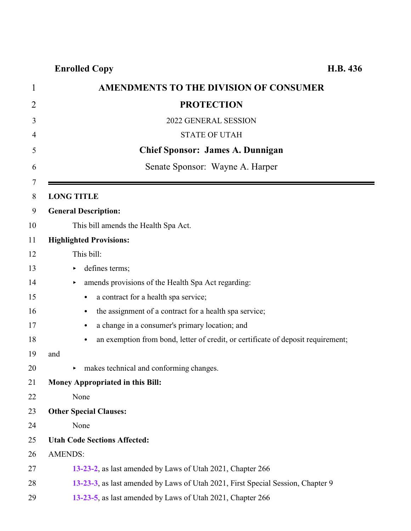**Enrolled Copy** 

| $\mathbf{1}$ | <b>AMENDMENTS TO THE DIVISION OF CONSUMER</b>                                                 |  |
|--------------|-----------------------------------------------------------------------------------------------|--|
| 2            | <b>PROTECTION</b>                                                                             |  |
| 3            | 2022 GENERAL SESSION                                                                          |  |
| 4            | <b>STATE OF UTAH</b>                                                                          |  |
| 5            | <b>Chief Sponsor: James A. Dunnigan</b>                                                       |  |
| 6            | Senate Sponsor: Wayne A. Harper                                                               |  |
| 7            |                                                                                               |  |
| 8            | <b>LONG TITLE</b>                                                                             |  |
| 9            | <b>General Description:</b>                                                                   |  |
| 10           | This bill amends the Health Spa Act.                                                          |  |
| 11           | <b>Highlighted Provisions:</b>                                                                |  |
| 12           | This bill:                                                                                    |  |
| 13           | defines terms;<br>▶                                                                           |  |
| 14           | amends provisions of the Health Spa Act regarding:<br>▶                                       |  |
| 15           | a contract for a health spa service;<br>$\bullet$                                             |  |
| 16           | the assignment of a contract for a health spa service;<br>$\bullet$                           |  |
| 17           | a change in a consumer's primary location; and<br>$\bullet$                                   |  |
| 18           | an exemption from bond, letter of credit, or certificate of deposit requirement;<br>$\bullet$ |  |
| 19           | and                                                                                           |  |
| 20           | makes technical and conforming changes.                                                       |  |
| 21           | <b>Money Appropriated in this Bill:</b>                                                       |  |
| 22           | None                                                                                          |  |
| 23           | <b>Other Special Clauses:</b>                                                                 |  |
| 24           | None                                                                                          |  |
| 25           | <b>Utah Code Sections Affected:</b>                                                           |  |
| 26           | <b>AMENDS:</b>                                                                                |  |
| 27           | 13-23-2, as last amended by Laws of Utah 2021, Chapter 266                                    |  |
| 28           | 13-23-3, as last amended by Laws of Utah 2021, First Special Session, Chapter 9               |  |
| 29           | 13-23-5, as last amended by Laws of Utah 2021, Chapter 266                                    |  |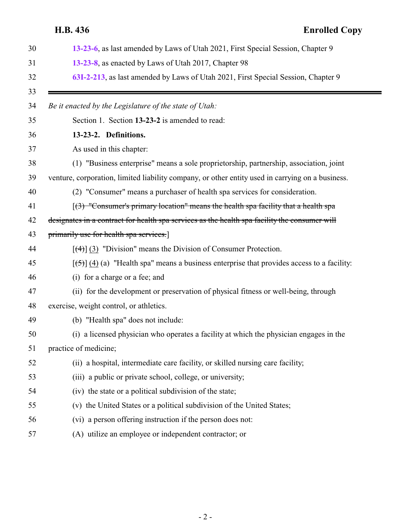# <span id="page-1-0"></span>**H.B. 436 Enrolled Copy [13-23-6](#page-10-0)**, as last amended by Laws of Utah 2021, First Special Session, Chapter 9 **[13-23-8](#page-12-0)**, as enacted by Laws of Utah 2017, Chapter 98 **[63I-2-213](#page-13-0)**, as last amended by Laws of Utah 2021, First Special Session, Chapter 9 *Be it enacted by the Legislature of the state of Utah:* Section 1. Section **13-23-2** is amended to read: **13-23-2. Definitions.** As used in this chapter: (1) "Business enterprise" means a sole proprietorship, partnership, association, joint venture, corporation, limited liability company, or other entity used in carrying on a business. (2) "Consumer" means a purchaser of health spa services for consideration. 41  $\left[\frac{3}{3}\right]$  "Consumer's primary location" means the health spa facility that a health spa designates in a contract for health spa services as the health spa facility the consumer will 43 primarily use for health spa services. 44  $\left[\frac{(4)}{(3)}\right]$  (3) "Division" means the Division of Consumer Protection. 45  $[(5)] (4) (a)$  "Health spa" means a business enterprise that provides access to a facility: (i) for a charge or a fee; and (ii) for the development or preservation of physical fitness or well-being, through exercise, weight control, or athletics. (b) "Health spa" does not include: (i) a licensed physician who operates a facility at which the physician engages in the practice of medicine; (ii) a hospital, intermediate care facility, or skilled nursing care facility; (iii) a public or private school, college, or university; (iv) the state or a political subdivision of the state; (v) the United States or a political subdivision of the United States; (vi) a person offering instruction if the person does not: (A) utilize an employee or independent contractor; or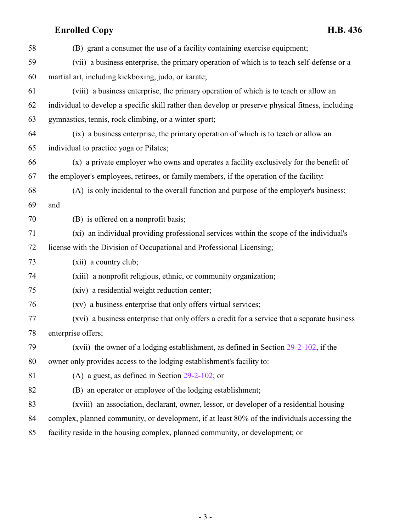| 58 | (B) grant a consumer the use of a facility containing exercise equipment;                          |
|----|----------------------------------------------------------------------------------------------------|
| 59 | (vii) a business enterprise, the primary operation of which is to teach self-defense or a          |
| 60 | martial art, including kickboxing, judo, or karate;                                                |
| 61 | (viii) a business enterprise, the primary operation of which is to teach or allow an               |
| 62 | individual to develop a specific skill rather than develop or preserve physical fitness, including |
| 63 | gymnastics, tennis, rock climbing, or a winter sport;                                              |
| 64 | (ix) a business enterprise, the primary operation of which is to teach or allow an                 |
| 65 | individual to practice yoga or Pilates;                                                            |
| 66 | (x) a private employer who owns and operates a facility exclusively for the benefit of             |
| 67 | the employer's employees, retirees, or family members, if the operation of the facility:           |
| 68 | (A) is only incidental to the overall function and purpose of the employer's business;             |
| 69 | and                                                                                                |
| 70 | (B) is offered on a nonprofit basis;                                                               |
| 71 | (xi) an individual providing professional services within the scope of the individual's            |
| 72 | license with the Division of Occupational and Professional Licensing;                              |
| 73 | (xii) a country club;                                                                              |
| 74 | (xiii) a nonprofit religious, ethnic, or community organization;                                   |
| 75 | (xiv) a residential weight reduction center;                                                       |
| 76 | (xv) a business enterprise that only offers virtual services;                                      |
| 77 | (xvi) a business enterprise that only offers a credit for a service that a separate business       |
| 78 | enterprise offers;                                                                                 |
| 79 | (xvii) the owner of a lodging establishment, as defined in Section $29-2-102$ , if the             |
| 80 | owner only provides access to the lodging establishment's facility to:                             |
| 81 | (A) a guest, as defined in Section $29-2-102$ ; or                                                 |
| 82 | (B) an operator or employee of the lodging establishment;                                          |
| 83 | (xviii) an association, declarant, owner, lessor, or developer of a residential housing            |
| 84 | complex, planned community, or development, if at least 80% of the individuals accessing the       |
| 85 | facility reside in the housing complex, planned community, or development; or                      |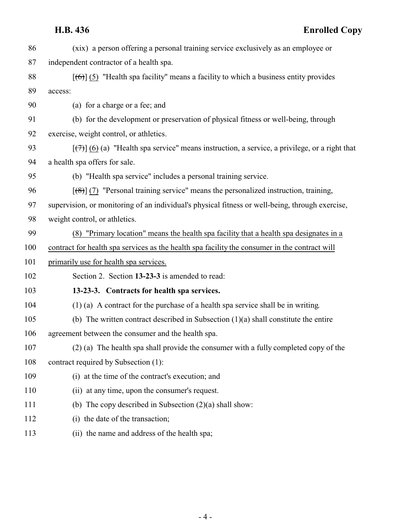| 86  | (xix) a person offering a personal training service exclusively as an employee or                             |
|-----|---------------------------------------------------------------------------------------------------------------|
| 87  | independent contractor of a health spa.                                                                       |
| 88  | $[66]$ (5) "Health spa facility" means a facility to which a business entity provides                         |
| 89  | access:                                                                                                       |
| 90  | (a) for a charge or a fee; and                                                                                |
| 91  | (b) for the development or preservation of physical fitness or well-being, through                            |
| 92  | exercise, weight control, or athletics.                                                                       |
| 93  | $[\overline{(\tau)}]$ (6) (a) "Health spa service" means instruction, a service, a privilege, or a right that |
| 94  | a health spa offers for sale.                                                                                 |
| 95  | (b) "Health spa service" includes a personal training service.                                                |
| 96  | $\left[\frac{1}{2}\right]$ (7) "Personal training service" means the personalized instruction, training,      |
| 97  | supervision, or monitoring of an individual's physical fitness or well-being, through exercise,               |
| 98  | weight control, or athletics.                                                                                 |
| 99  | (8) "Primary location" means the health spa facility that a health spa designates in a                        |
| 100 | contract for health spa services as the health spa facility the consumer in the contract will                 |
| 101 | primarily use for health spa services.                                                                        |
| 102 | Section 2. Section 13-23-3 is amended to read:                                                                |
| 103 | 13-23-3. Contracts for health spa services.                                                                   |
| 104 | $(1)$ (a) A contract for the purchase of a health spa service shall be in writing.                            |
| 105 | (b) The written contract described in Subsection $(1)(a)$ shall constitute the entire                         |
| 106 | agreement between the consumer and the health spa.                                                            |
| 107 | (2) (a) The health spa shall provide the consumer with a fully completed copy of the                          |
| 108 | contract required by Subsection (1):                                                                          |
| 109 | (i) at the time of the contract's execution; and                                                              |
| 110 | (ii) at any time, upon the consumer's request.                                                                |
| 111 | (b) The copy described in Subsection $(2)(a)$ shall show:                                                     |
| 112 | (i) the date of the transaction;                                                                              |
| 112 | $1.1$ and $1.1$ and $2.41$ and $1.1$                                                                          |

<span id="page-3-0"></span>(ii) the name and address of the health spa;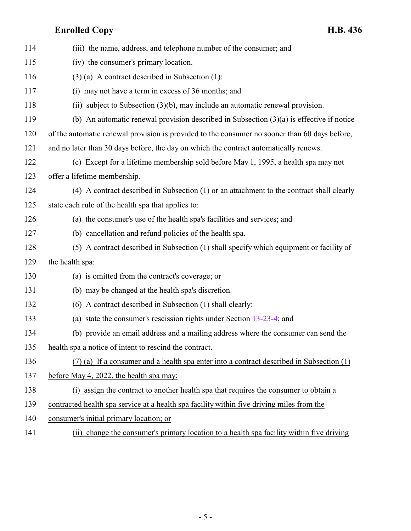| 114 | (iii) the name, address, and telephone number of the consumer; and                            |
|-----|-----------------------------------------------------------------------------------------------|
| 115 | (iv) the consumer's primary location.                                                         |
| 116 | $(3)$ (a) A contract described in Subsection (1):                                             |
| 117 | (i) may not have a term in excess of 36 months; and                                           |
| 118 | (ii) subject to Subsection $(3)(b)$ , may include an automatic renewal provision.             |
| 119 | (b) An automatic renewal provision described in Subsection $(3)(a)$ is effective if notice    |
| 120 | of the automatic renewal provision is provided to the consumer no sooner than 60 days before, |
| 121 | and no later than 30 days before, the day on which the contract automatically renews.         |
| 122 | (c) Except for a lifetime membership sold before May 1, 1995, a health spa may not            |
| 123 | offer a lifetime membership.                                                                  |
| 124 | (4) A contract described in Subsection (1) or an attachment to the contract shall clearly     |
| 125 | state each rule of the health spa that applies to:                                            |
| 126 | (a) the consumer's use of the health spa's facilities and services; and                       |
| 127 | (b) cancellation and refund policies of the health spa.                                       |
| 128 | (5) A contract described in Subsection (1) shall specify which equipment or facility of       |
| 129 | the health spa:                                                                               |
| 130 | (a) is omitted from the contract's coverage; or                                               |
| 131 | (b) may be changed at the health spa's discretion.                                            |
| 132 | (6) A contract described in Subsection (1) shall clearly:                                     |
| 133 | (a) state the consumer's rescission rights under Section $13-23-4$ ; and                      |
| 134 | (b) provide an email address and a mailing address where the consumer can send the            |
| 135 | health spa a notice of intent to rescind the contract.                                        |
| 136 | $(7)$ (a) If a consumer and a health spa enter into a contract described in Subsection $(1)$  |
| 137 | before May 4, 2022, the health spa may:                                                       |
| 138 | (i) assign the contract to another health spa that requires the consumer to obtain a          |
| 139 | contracted health spa service at a health spa facility within five driving miles from the     |
| 140 | consumer's initial primary location; or                                                       |
|     |                                                                                               |

141 (ii) change the consumer's primary location to a health spa facility within five driving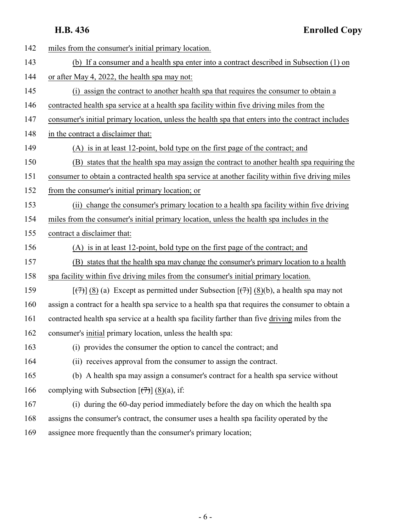**H.B. 436 Enrolled Copy**

| 142 | miles from the consumer's initial primary location.                                                             |
|-----|-----------------------------------------------------------------------------------------------------------------|
| 143 | (b) If a consumer and a health spa enter into a contract described in Subsection (1) on                         |
| 144 | or after May 4, 2022, the health spa may not:                                                                   |
| 145 | (i) assign the contract to another health spa that requires the consumer to obtain a                            |
| 146 | contracted health spa service at a health spa facility within five driving miles from the                       |
| 147 | consumer's initial primary location, unless the health spa that enters into the contract includes               |
| 148 | in the contract a disclaimer that:                                                                              |
| 149 | (A) is in at least 12-point, bold type on the first page of the contract; and                                   |
| 150 | (B) states that the health spa may assign the contract to another health spa requiring the                      |
| 151 | consumer to obtain a contracted health spa service at another facility within five driving miles                |
| 152 | from the consumer's initial primary location; or                                                                |
| 153 | (ii) change the consumer's primary location to a health spa facility within five driving                        |
| 154 | miles from the consumer's initial primary location, unless the health spa includes in the                       |
| 155 | contract a disclaimer that:                                                                                     |
| 156 | (A) is in at least 12-point, bold type on the first page of the contract; and                                   |
| 157 | (B) states that the health spa may change the consumer's primary location to a health                           |
| 158 | spa facility within five driving miles from the consumer's initial primary location.                            |
| 159 | $[\overline{(+)}]$ (8) (a) Except as permitted under Subsection $[\overline{(+)}]$ (8)(b), a health spa may not |
| 160 | assign a contract for a health spa service to a health spa that requires the consumer to obtain a               |
| 161 | contracted health spa service at a health spa facility farther than five driving miles from the                 |
| 162 | consumer's initial primary location, unless the health spa:                                                     |
| 163 | (i) provides the consumer the option to cancel the contract; and                                                |
| 164 | (ii) receives approval from the consumer to assign the contract.                                                |
| 165 | (b) A health spa may assign a consumer's contract for a health spa service without                              |
| 166 | complying with Subsection $[\overline{77}]$ (8)(a), if:                                                         |
| 167 | (i) during the 60-day period immediately before the day on which the health spa                                 |
| 168 | assigns the consumer's contract, the consumer uses a health spa facility operated by the                        |
| 169 | assignee more frequently than the consumer's primary location;                                                  |
|     |                                                                                                                 |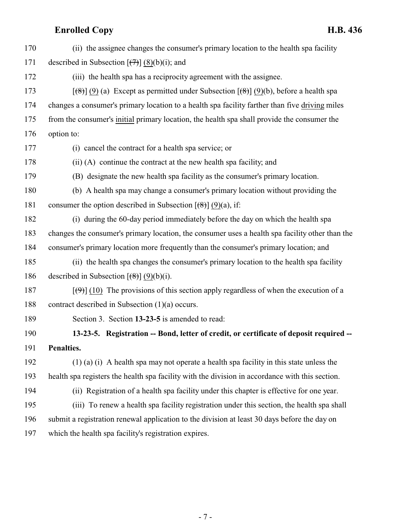<span id="page-6-0"></span>

| 170 | (ii) the assignee changes the consumer's primary location to the health spa facility                     |
|-----|----------------------------------------------------------------------------------------------------------|
| 171 | described in Subsection $[\overline{(+)}]$ (8)(b)(i); and                                                |
| 172 | (iii) the health spa has a reciprocity agreement with the assignee.                                      |
| 173 | $[\frac{1}{8}]$ (9) (a) Except as permitted under Subsection $[\frac{1}{8}]$ (9)(b), before a health spa |
| 174 | changes a consumer's primary location to a health spa facility farther than five driving miles           |
| 175 | from the consumer's initial primary location, the health spa shall provide the consumer the              |
| 176 | option to:                                                                                               |
| 177 | (i) cancel the contract for a health spa service; or                                                     |
| 178 | (ii) (A) continue the contract at the new health spa facility; and                                       |
| 179 | (B) designate the new health spa facility as the consumer's primary location.                            |
| 180 | (b) A health spa may change a consumer's primary location without providing the                          |
| 181 | consumer the option described in Subsection $[\frac{1}{2}(\frac{1}{2})](9)(a)$ , if:                     |
| 182 | (i) during the 60-day period immediately before the day on which the health spa                          |
| 183 | changes the consumer's primary location, the consumer uses a health spa facility other than the          |
| 184 | consumer's primary location more frequently than the consumer's primary location; and                    |
| 185 | (ii) the health spa changes the consumer's primary location to the health spa facility                   |
| 186 | described in Subsection $[\frac{1}{8}] (9)(b)(i)$ .                                                      |
| 187 | $[\langle 9 \rangle]$ (10) The provisions of this section apply regardless of when the execution of a    |
| 188 | contract described in Subsection $(1)(a)$ occurs.                                                        |
| 189 | Section 3. Section 13-23-5 is amended to read:                                                           |
| 190 | 13-23-5. Registration -- Bond, letter of credit, or certificate of deposit required --                   |
| 191 | Penalties.                                                                                               |
| 192 | $(1)$ (a) (i) A health spa may not operate a health spa facility in this state unless the                |
| 193 | health spa registers the health spa facility with the division in accordance with this section.          |
| 194 | (ii) Registration of a health spa facility under this chapter is effective for one year.                 |
| 195 | (iii) To renew a health spa facility registration under this section, the health spa shall               |
| 196 | submit a registration renewal application to the division at least 30 days before the day on             |
| 197 | which the health spa facility's registration expires.                                                    |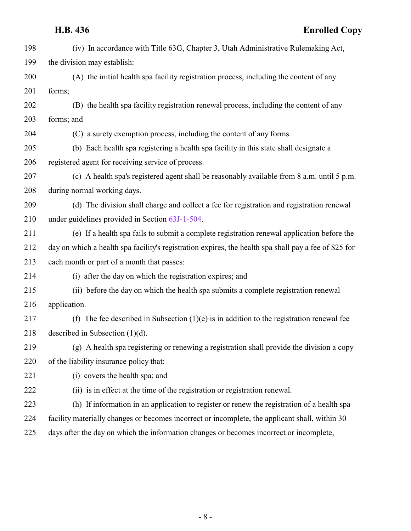(iv) In accordance with Title 63G, Chapter 3, Utah Administrative Rulemaking Act, the division may establish: (A) the initial health spa facility registration process, including the content of any forms; (B) the health spa facility registration renewal process, including the content of any forms; and (C) a surety exemption process, including the content of any forms. (b) Each health spa registering a health spa facility in this state shall designate a registered agent for receiving service of process. (c) A health spa's registered agent shall be reasonably available from 8 a.m. until 5 p.m. during normal working days. (d) The division shall charge and collect a fee for registration and registration renewal under guidelines provided in Section [63J-1-504](http://le.utah.gov/UtahCode/SectionLookup.jsp?section=63j-1-504&session=2022GS). (e) If a health spa fails to submit a complete registration renewal application before the day on which a health spa facility's registration expires, the health spa shall pay a fee of \$25 for each month or part of a month that passes: (i) after the day on which the registration expires; and (ii) before the day on which the health spa submits a complete registration renewal application. (f) The fee described in Subsection (1)(e) is in addition to the registration renewal fee described in Subsection (1)(d). (g) A health spa registering or renewing a registration shall provide the division a copy of the liability insurance policy that: (i) covers the health spa; and (ii) is in effect at the time of the registration or registration renewal. (h) If information in an application to register or renew the registration of a health spa facility materially changes or becomes incorrect or incomplete, the applicant shall, within 30 days after the day on which the information changes or becomes incorrect or incomplete,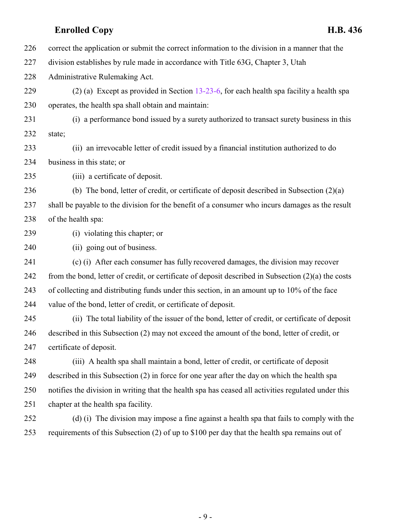correct the application or submit the correct information to the division in a manner that the

division establishes by rule made in accordance with Title 63G, Chapter 3, Utah

Administrative Rulemaking Act.

 (2) (a) Except as provided in Section [13-23-6](#page-10-0), for each health spa facility a health spa operates, the health spa shall obtain and maintain:

 (i) a performance bond issued by a surety authorized to transact surety business in this state;

 (ii) an irrevocable letter of credit issued by a financial institution authorized to do business in this state; or

(iii) a certificate of deposit.

 (b) The bond, letter of credit, or certificate of deposit described in Subsection (2)(a) shall be payable to the division for the benefit of a consumer who incurs damages as the result of the health spa:

(i) violating this chapter; or

(ii) going out of business.

 (c) (i) After each consumer has fully recovered damages, the division may recover from the bond, letter of credit, or certificate of deposit described in Subsection (2)(a) the costs of collecting and distributing funds under this section, in an amount up to 10% of the face value of the bond, letter of credit, or certificate of deposit.

 (ii) The total liability of the issuer of the bond, letter of credit, or certificate of deposit described in this Subsection (2) may not exceed the amount of the bond, letter of credit, or certificate of deposit.

 (iii) A health spa shall maintain a bond, letter of credit, or certificate of deposit described in this Subsection (2) in force for one year after the day on which the health spa notifies the division in writing that the health spa has ceased all activities regulated under this chapter at the health spa facility.

 (d) (i) The division may impose a fine against a health spa that fails to comply with the requirements of this Subsection (2) of up to \$100 per day that the health spa remains out of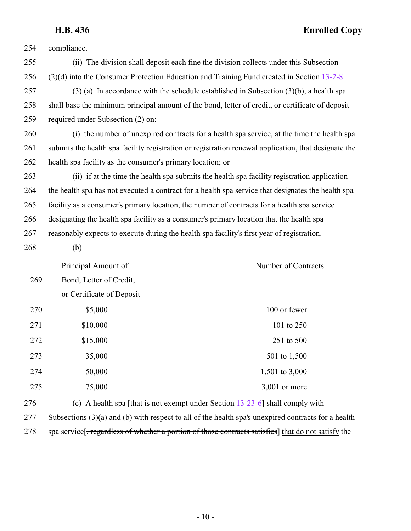## **H.B. 436 Enrolled Copy**

compliance.

| 255 |                                                                                            | (ii) The division shall deposit each fine the division collects under this Subsection                         |
|-----|--------------------------------------------------------------------------------------------|---------------------------------------------------------------------------------------------------------------|
| 256 |                                                                                            | (2)(d) into the Consumer Protection Education and Training Fund created in Section 13-2-8.                    |
| 257 |                                                                                            | $(3)$ (a) In accordance with the schedule established in Subsection $(3)(b)$ , a health spa                   |
| 258 |                                                                                            | shall base the minimum principal amount of the bond, letter of credit, or certificate of deposit              |
| 259 | required under Subsection (2) on:                                                          |                                                                                                               |
| 260 |                                                                                            | (i) the number of unexpired contracts for a health spa service, at the time the health spa                    |
| 261 |                                                                                            | submits the health spa facility registration or registration renewal application, that designate the          |
| 262 | health spa facility as the consumer's primary location; or                                 |                                                                                                               |
| 263 |                                                                                            | (ii) if at the time the health spa submits the health spa facility registration application                   |
| 264 |                                                                                            | the health spa has not executed a contract for a health spa service that designates the health spa            |
| 265 |                                                                                            | facility as a consumer's primary location, the number of contracts for a health spa service                   |
| 266 | designating the health spa facility as a consumer's primary location that the health spa   |                                                                                                               |
| 267 | reasonably expects to execute during the health spa facility's first year of registration. |                                                                                                               |
| 268 | (b)                                                                                        |                                                                                                               |
|     | Principal Amount of                                                                        | Number of Contracts                                                                                           |
| 269 | Bond, Letter of Credit,                                                                    |                                                                                                               |
|     | or Certificate of Deposit                                                                  |                                                                                                               |
| 270 | \$5,000                                                                                    | 100 or fewer                                                                                                  |
| 271 | \$10,000                                                                                   | 101 to 250                                                                                                    |
| 272 | \$15,000                                                                                   | 251 to 500                                                                                                    |
| 273 | 35,000                                                                                     | 501 to 1,500                                                                                                  |
| 274 | 50,000                                                                                     | 1,501 to 3,000                                                                                                |
| 275 | 75,000                                                                                     | $3,001$ or more                                                                                               |
| 276 |                                                                                            | (c) A health spa [that is not exempt under Section $13-23-6$ ] shall comply with                              |
| 277 |                                                                                            | Subsections $(3)(a)$ and $(b)$ with respect to all of the health spa's unexpired contracts for a health       |
| 278 |                                                                                            | spa service <del>, regardless of whether a portion of those contracts satisfies</del> that do not satisfy the |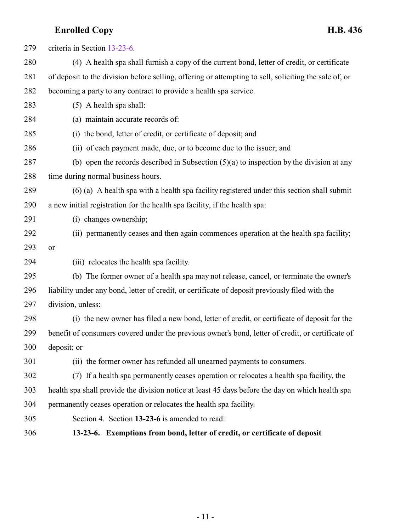<span id="page-10-0"></span>

| 279 | criteria in Section 13-23-6.                                                                          |
|-----|-------------------------------------------------------------------------------------------------------|
| 280 | (4) A health spa shall furnish a copy of the current bond, letter of credit, or certificate           |
| 281 | of deposit to the division before selling, offering or attempting to sell, soliciting the sale of, or |
| 282 | becoming a party to any contract to provide a health spa service.                                     |
| 283 | $(5)$ A health spa shall:                                                                             |
| 284 | (a) maintain accurate records of:                                                                     |
| 285 | (i) the bond, letter of credit, or certificate of deposit; and                                        |
| 286 | (ii) of each payment made, due, or to become due to the issuer; and                                   |
| 287 | (b) open the records described in Subsection $(5)(a)$ to inspection by the division at any            |
| 288 | time during normal business hours.                                                                    |
| 289 | (6) (a) A health spa with a health spa facility registered under this section shall submit            |
| 290 | a new initial registration for the health spa facility, if the health spa:                            |
| 291 | (i) changes ownership;                                                                                |
| 292 | (ii) permanently ceases and then again commences operation at the health spa facility;                |
| 293 | or                                                                                                    |
| 294 | (iii) relocates the health spa facility.                                                              |
| 295 | (b) The former owner of a health spa may not release, cancel, or terminate the owner's                |
| 296 | liability under any bond, letter of credit, or certificate of deposit previously filed with the       |
| 297 | division, unless:                                                                                     |
| 298 | (i) the new owner has filed a new bond, letter of credit, or certificate of deposit for the           |
| 299 | benefit of consumers covered under the previous owner's bond, letter of credit, or certificate of     |
| 300 | deposit; or                                                                                           |
| 301 | (ii) the former owner has refunded all unearned payments to consumers.                                |
| 302 | (7) If a health spa permanently ceases operation or relocates a health spa facility, the              |
| 303 | health spa shall provide the division notice at least 45 days before the day on which health spa      |
| 304 | permanently ceases operation or relocates the health spa facility.                                    |
| 305 | Section 4. Section 13-23-6 is amended to read:                                                        |
| 306 | 13-23-6. Exemptions from bond, letter of credit, or certificate of deposit                            |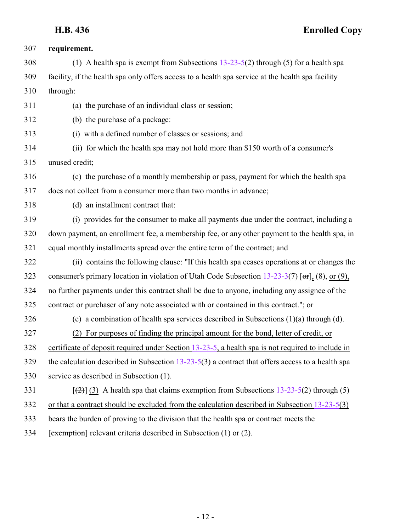### **H.B. 436 Enrolled Copy**

| 307 | requirement.                                                                                       |
|-----|----------------------------------------------------------------------------------------------------|
| 308 | (1) A health spa is exempt from Subsections $13-23-5(2)$ through (5) for a health spa              |
| 309 | facility, if the health spa only offers access to a health spa service at the health spa facility  |
| 310 | through:                                                                                           |
| 311 | (a) the purchase of an individual class or session;                                                |
| 312 | (b) the purchase of a package:                                                                     |
| 313 | (i) with a defined number of classes or sessions; and                                              |
| 314 | (ii) for which the health spa may not hold more than \$150 worth of a consumer's                   |
| 315 | unused credit;                                                                                     |
| 316 | (c) the purchase of a monthly membership or pass, payment for which the health spa                 |
| 317 | does not collect from a consumer more than two months in advance;                                  |
| 318 | (d) an installment contract that:                                                                  |
| 319 | (i) provides for the consumer to make all payments due under the contract, including a             |
| 320 | down payment, an enrollment fee, a membership fee, or any other payment to the health spa, in      |
| 321 | equal monthly installments spread over the entire term of the contract; and                        |
| 322 | (ii) contains the following clause: "If this health spa ceases operations at or changes the        |
| 323 | consumer's primary location in violation of Utah Code Subsection $13-23-3(7)$ [or], (8), or (9),   |
| 324 | no further payments under this contract shall be due to anyone, including any assignee of the      |
| 325 | contract or purchaser of any note associated with or contained in this contract."; or              |
| 326 | (e) a combination of health spa services described in Subsections $(1)(a)$ through $(d)$ .         |
| 327 | For purposes of finding the principal amount for the bond, letter of credit, or<br>(2)             |
| 328 | certificate of deposit required under Section 13-23-5, a health spa is not required to include in  |
| 329 | the calculation described in Subsection $13-23-5(3)$ a contract that offers access to a health spa |
| 330 | service as described in Subsection (1).                                                            |
| 331 | $[\frac{1}{2}]$ (3) A health spa that claims exemption from Subsections 13-23-5(2) through (5)     |
| 332 | or that a contract should be excluded from the calculation described in Subsection $13-23-5(3)$    |
| 333 | bears the burden of proving to the division that the health spa or contract meets the              |
| 334 | [exemption] relevant criteria described in Subsection (1) or (2).                                  |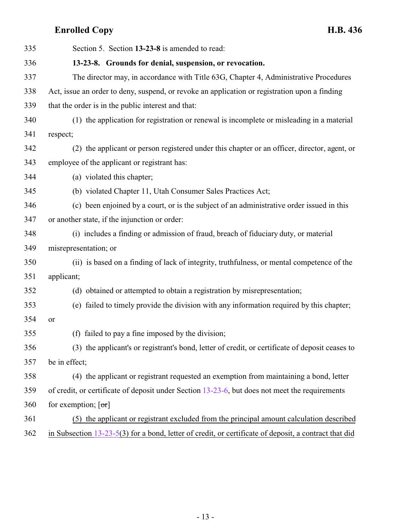<span id="page-12-0"></span>

| 335 | Section 5. Section 13-23-8 is amended to read:                                                          |
|-----|---------------------------------------------------------------------------------------------------------|
| 336 | 13-23-8. Grounds for denial, suspension, or revocation.                                                 |
| 337 | The director may, in accordance with Title 63G, Chapter 4, Administrative Procedures                    |
| 338 | Act, issue an order to deny, suspend, or revoke an application or registration upon a finding           |
| 339 | that the order is in the public interest and that:                                                      |
| 340 | (1) the application for registration or renewal is incomplete or misleading in a material               |
| 341 | respect;                                                                                                |
| 342 | (2) the applicant or person registered under this chapter or an officer, director, agent, or            |
| 343 | employee of the applicant or registrant has:                                                            |
| 344 | (a) violated this chapter;                                                                              |
| 345 | (b) violated Chapter 11, Utah Consumer Sales Practices Act;                                             |
| 346 | (c) been enjoined by a court, or is the subject of an administrative order issued in this               |
| 347 | or another state, if the injunction or order:                                                           |
| 348 | (i) includes a finding or admission of fraud, breach of fiduciary duty, or material                     |
| 349 | misrepresentation; or                                                                                   |
| 350 | (ii) is based on a finding of lack of integrity, truthfulness, or mental competence of the              |
| 351 | applicant;                                                                                              |
| 352 | (d) obtained or attempted to obtain a registration by misrepresentation;                                |
| 353 | (e) failed to timely provide the division with any information required by this chapter;                |
| 354 | or                                                                                                      |
| 355 | (f) failed to pay a fine imposed by the division;                                                       |
| 356 | (3) the applicant's or registrant's bond, letter of credit, or certificate of deposit ceases to         |
| 357 | be in effect;                                                                                           |
| 358 | (4) the applicant or registrant requested an exemption from maintaining a bond, letter                  |
| 359 | of credit, or certificate of deposit under Section 13-23-6, but does not meet the requirements          |
| 360 | for exemption; $[\sigma r]$                                                                             |
| 361 | (5) the applicant or registrant excluded from the principal amount calculation described                |
| 362 | in Subsection $13-23-5(3)$ for a bond, letter of credit, or certificate of deposit, a contract that did |